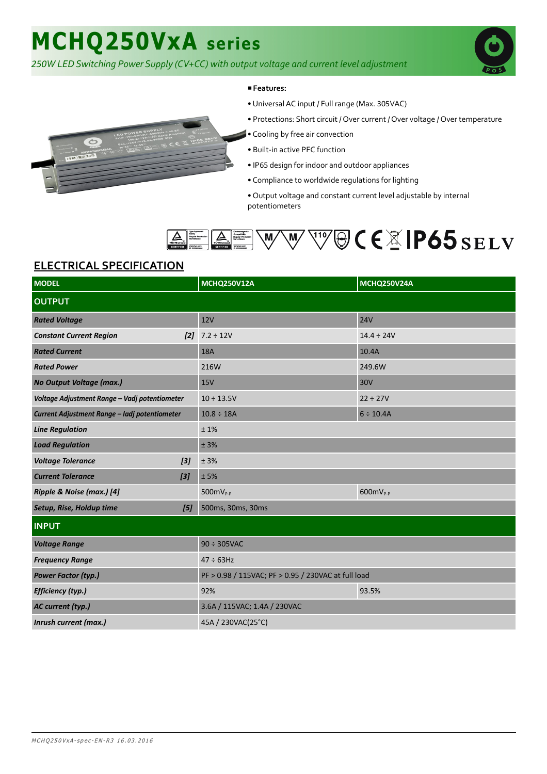# **MCHQ250VxA series**

*250W LED Switching Power Supply (CV+CC) with output voltage and current level adjustment*



#### ■**Features:**

- Universal AC input / Full range (Max. 305VAC)
- Protections: Short circuit / Over current / Over voltage / Over temperature
- Cooling by free air convection
- Built-in active PFC function
- IP65 design for indoor and outdoor appliances
- Compliance to worldwide regulations for lighting
- Output voltage and constant current level adjustable by internal potentiometers



### **ELECTRICAL SPECIFICATION**

| <b>MODEL</b>                                  | <b>MCHQ250V12A</b>                                  | <b>MCHQ250V24A</b> |
|-----------------------------------------------|-----------------------------------------------------|--------------------|
| <b>OUTPUT</b>                                 |                                                     |                    |
| <b>Rated Voltage</b>                          | 12V                                                 | <b>24V</b>         |
| <b>Constant Current Region</b><br>[2]         | $7.2 \div 12V$                                      | $14.4 \div 24V$    |
| <b>Rated Current</b>                          | <b>18A</b>                                          | 10.4A              |
| <b>Rated Power</b>                            | 216W                                                | 249.6W             |
| No Output Voltage (max.)                      | <b>15V</b>                                          | 30V                |
| Voltage Adjustment Range - Vadj potentiometer | $10 \div 13.5V$                                     | $22 \div 27V$      |
| Current Adjustment Range - ladj potentiometer | $10.8 \div 18A$                                     | $6 \div 10.4A$     |
| <b>Line Regulation</b>                        | ±1%                                                 |                    |
| <b>Load Regulation</b>                        | ± 3%                                                |                    |
| <b>Voltage Tolerance</b><br>$[3]$             | ± 3%                                                |                    |
| <b>Current Tolerance</b><br>$[3]$             | ± 5%                                                |                    |
| Ripple & Noise (max.) [4]                     | $500mV_{P-P}$                                       | $600$ m $V_{P-P}$  |
| Setup, Rise, Holdup time<br>[5]               | 500ms, 30ms, 30ms                                   |                    |
| <b>INPUT</b>                                  |                                                     |                    |
| <b>Voltage Range</b>                          | $90 \div 305$ VAC                                   |                    |
| <b>Frequency Range</b>                        | $47 \div 63$ Hz                                     |                    |
| <b>Power Factor (typ.)</b>                    | PF > 0.98 / 115VAC; PF > 0.95 / 230VAC at full load |                    |
| <b>Efficiency (typ.)</b>                      | 92%                                                 | 93.5%              |
| AC current (typ.)                             | 3.6A / 115VAC; 1.4A / 230VAC                        |                    |
| Inrush current (max.)                         | 45A / 230VAC(25°C)                                  |                    |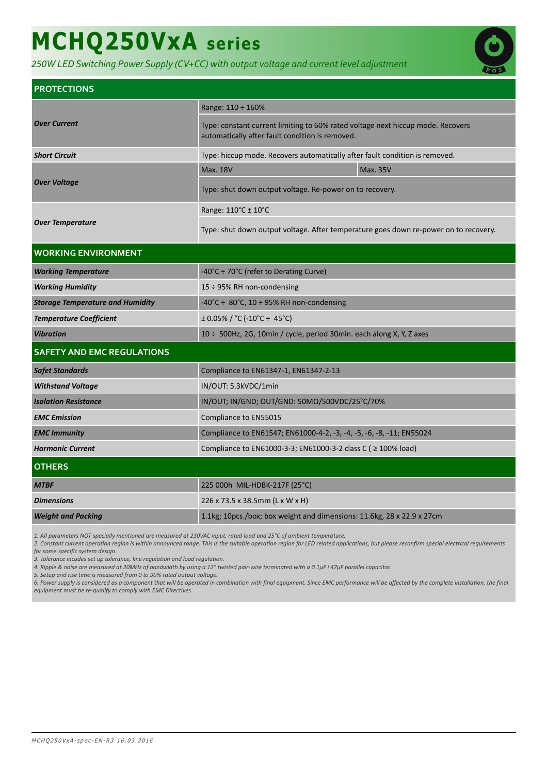# **MCHQ250VxA series**

*250W LED Switching Power Supply (CV+CC) with output voltage and current level adjustment*



| <b>PROTECTIONS</b>                      |                                                                                                                                    |                 |  |
|-----------------------------------------|------------------------------------------------------------------------------------------------------------------------------------|-----------------|--|
| <b>Over Current</b>                     | Range: 110 ÷ 160%                                                                                                                  |                 |  |
|                                         | Type: constant current limiting to 60% rated voltage next hiccup mode. Recovers<br>automatically after fault condition is removed. |                 |  |
| <b>Short Circuit</b>                    | Type: hiccup mode. Recovers automatically after fault condition is removed.                                                        |                 |  |
| <b>Over Voltage</b>                     | <b>Max. 18V</b>                                                                                                                    | <b>Max. 35V</b> |  |
|                                         | Type: shut down output voltage. Re-power on to recovery.                                                                           |                 |  |
| <b>Over Temperature</b>                 | Range: 110°C ± 10°C                                                                                                                |                 |  |
|                                         | Type: shut down output voltage. After temperature goes down re-power on to recovery.                                               |                 |  |
| <b>WORKING ENVIRONMENT</b>              |                                                                                                                                    |                 |  |
| <b>Working Temperature</b>              | -40°C ÷ 70°C (refer to Derating Curve)                                                                                             |                 |  |
| <b>Working Humidity</b>                 | 15 $\div$ 95% RH non-condensing                                                                                                    |                 |  |
| <b>Storage Temperature and Humidity</b> | -40°C ÷ 80°C, 10 ÷ 95% RH non-condensing                                                                                           |                 |  |
| <b>Temperature Coefficient</b>          | $\pm$ 0.05% / °C (-10°C ÷ 45°C)                                                                                                    |                 |  |
| <b>Vibration</b>                        | 10 ÷ 500Hz, 2G, 10min / cycle, period 30min. each along X, Y, Z axes                                                               |                 |  |
| <b>SAFETY AND EMC REGULATIONS</b>       |                                                                                                                                    |                 |  |
| <b>Safet Standards</b>                  | Compliance to EN61347-1, EN61347-2-13                                                                                              |                 |  |
| <b>Withstand Voltage</b>                | IN/OUT: 5.3kVDC/1min                                                                                                               |                 |  |
| <b>Isolation Resistance</b>             | IN/OUT; IN/GND; OUT/GND: 50ΜΩ/500VDC/25°C/70%                                                                                      |                 |  |
| <b>EMC</b> Emission                     | Compliance to EN55015                                                                                                              |                 |  |
| <b>EMC Immunity</b>                     | Compliance to EN61547; EN61000-4-2, -3, -4, -5, -6, -8, -11; EN55024                                                               |                 |  |
| <b>Harmonic Current</b>                 | Compliance to EN61000-3-3; EN61000-3-2 class C ( ≥ 100% load)                                                                      |                 |  |
| <b>OTHERS</b>                           |                                                                                                                                    |                 |  |
| <b>MTBF</b>                             | 225 000h MIL-HDBK-217F (25°C)                                                                                                      |                 |  |
| <b>Dimensions</b>                       | 226 x 73.5 x 38.5mm (L x W x H)                                                                                                    |                 |  |
| <b>Weight and Packing</b>               | 1.1kg; 10pcs./box; box weight and dimensions: 11.6kg, 28 x 22.9 x 27cm                                                             |                 |  |

*1. All parameters NOT specially mentioned are measured at 230VAC input, rated load and 25°C of ambient temperature.*

*2. Constant current operation region is within announced range. This is the suitable operation region for LED related applications, but please reconfirm special electrical requirements for some specific system design.*

*3. Tolerance incudes set up tolerance, line regulation and load regulation.*

*4. Ripple & noise are measured at 20MHz of bandwidth by using a 12" twisted pair-wire terminated with a 0.1μF i 47μF parallel capacitor.*

*5. Setup and rise time is measured from 0 to 90% rated output voltage.*

*6. Power supply is considered as a component that will be operated in combination with final equipment. Since EMC performance will be affected by the complete installation, the final equipment must be re-qualify to comply with EMC Directives.*